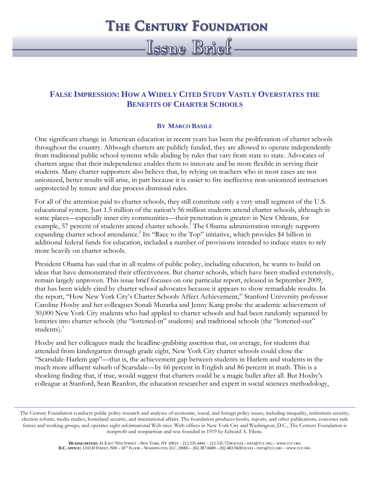## **THE CENTURY FOUNDATION**

# Issue Brief

### **FALSE IMPRESSION: HOW A WIDELY CITED STUDY VASTLY OVERSTATES THE BENEFITS OF CHARTER SCHOOLS**

#### **BY MARCO BASILE**

One significant change in American education in recent years has been the proliferation of charter schools throughout the country. Although charters are publicly funded, they are allowed to operate independently from traditional public school systems while abiding by rules that vary from state to state. Advocates of charters argue that their independence enables them to innovate and be more flexible in serving their students. Many charter supporters also believe that, by relying on teachers who in most cases are not unionized, better results will arise, in part because it is easier to fire ineffective non-unionized instructors unprotected by tenure and due process dismissal rules.

For all of the attention paid to charter schools, they still constitute only a very small segment of the U.S. educational system. Just 1.5 million of the nation's 56 million students attend charter schools, although in some places—especially inner city communities—their penetration is greater: in New Orleans, for example, 57 percent of students attend charter schools.<sup>1</sup> The Obama administration strongly supports expanding charter school attendance.<sup>2</sup> Its "Race to the Top" initiative, which provides \$4 billion in additional federal funds for education, included a number of provisions intended to induce states to rely more heavily on charter schools.

President Obama has said that in all realms of public policy, including education, he wants to build on ideas that have demonstrated their effectiveness. But charter schools, which have been studied extensively, remain largely unproven. This issue brief focuses on one particular report, released in September 2009, that has been widely cited by charter school advocates because it appears to show remarkable results. In the report, "How New York City's Charter Schools Affect Achievement," Stanford University professor Caroline Hoxby and her colleagues Sonali Murarka and Jenny Kang probe the academic achievement of 30,000 New York City students who had applied to charter schools and had been randomly separated by lotteries into charter schools (the "lotteried-in" students) and traditional schools (the "lotteried-out" students).<sup>3</sup>

Hoxby and her colleagues made the headline-grabbing assertion that, on average, for students that attended from kindergarten through grade eight, New York City charter schools could close the "Scarsdale-Harlem gap"—that is, the achievement gap between students in Harlem and students in the much more affluent suburb of Scarsdale—by 66 percent in English and 86 percent in math. This is a shocking finding that, if true, would suggest that charters could be a magic bullet after all. But Hoxby's colleague at Stanford, Sean Reardon, the education researcher and expert in social sciences methodology,

The Century Foundation conducts public policy research and analyses of economic, social, and foreign policy issues, including inequality, retirement security, election reform, media studies, homeland security, and international affairs. The foundation produces books, reports, and other publications, convenes task forces and working groups, and operates eight informational Web sites. With offices in New York City and Washington, D.C., The Century Foundation is nonprofit and nonpartisan and was founded in 1919 by Edward A. Filene.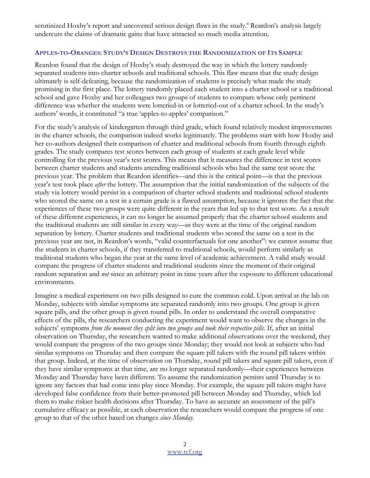scrutinized Hoxby's report and uncovered serious design flaws in the study.<sup>4</sup> Reardon's analysis largely undercuts the claims of dramatic gains that have attracted so much media attention.

#### APPLES-TO-ORANGES: STUDY'S DESIGN DESTROYS THE RANDOMIZATION OF ITS SAMPLE

Reardon found that the design of Hoxby's study destroyed the way in which the lottery randomly separated students into charter schools and traditional schools. This flaw means that the study design ultimately is self-defeating, because the randomization of students is precisely what made the study promising in the first place. The lottery randomly placed each student into a charter school or a traditional school and gave Hoxby and her colleagues two groups of students to compare whose only pertinent difference was whether the students were lotteried-in or lotteried-out of a charter school. In the study's authors' words, it constituted "a true 'apples-to-apples' comparison."

For the study's analysis of kindergarten through third grade, which found relatively modest improvements in the charter schools, the comparison indeed works legitimately. The problems start with how Hoxby and her co-authors designed their comparison of charter and traditional schools from fourth through eighth grades. The study compares test scores between each group of students at each grade level while controlling for the previous year's test scores. This means that it measures the difference in test scores between charter students and students attending traditional schools who had the same test score the previous year. The problem that Reardon identifies—and this is the critical point—is that the previous year's test took place after the lottery. The assumption that the initial randomization of the subjects of the study via lottery would persist in a comparison of charter school students and traditional school students who scored the same on a test in a certain grade is a flawed assumption, because it ignores the fact that the experiences of these two groups were quite different in the years that led up to that test score. As a result of these different experiences, it can no longer be assumed properly that the charter school students and the traditional students are still similar in every way—as they were at the time of the original random separation by lottery. Charter students and traditional students who scored the same on a test in the previous year are not, in Reardon's words, "valid counterfactuals for one another": we cannot assume that the students in charter schools, if they transferred to traditional schools, would perform similarly as traditional students who began the year at the same level of academic achievement. A valid study would compare the progress of charter students and traditional students since the moment of their original random separation and *not* since an arbitrary point in time years after the exposure to different educational environments.

Imagine a medical experiment on two pills designed to cure the common cold. Upon arrival at the lab on Monday, subjects with similar symptoms are separated randomly into two groups. One group is given square pills, and the other group is given round pills. In order to understand the overall comparative effects of the pills, the researchers conducting the experiment would want to observe the changes in the subjects' symptoms from the moment they split into two groups and took their respective pills. If, after an initial observation on Thursday, the researchers wanted to make additional observations over the weekend, they would compare the progress of the two groups since Monday; they would not look at subjects who had similar symptoms on Thursday and then compare the square pill takers with the round pill takers within that group. Indeed, at the time of observation on Thursday, round pill takers and square pill takers, even if they have similar symptoms at that time, are no longer separated randomly—their experiences between Monday and Thursday have been different. To assume the randomization persists until Thursday is to ignore any factors that had come into play since Monday. For example, the square pill takers might have developed false confidence from their better-promoted pill between Monday and Thursday, which led them to make riskier health decisions after Thursday. To have as accurate an assessment of the pill's cumulative efficacy as possible, at each observation the researchers would compare the progress of one group to that of the other based on changes since Monday.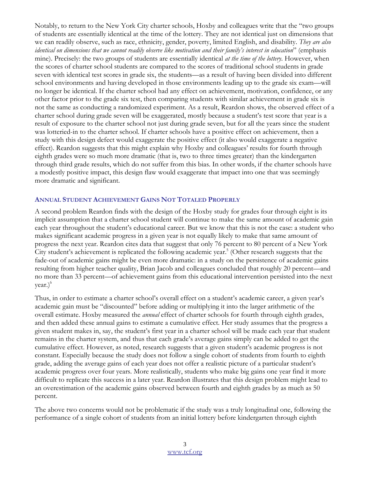Notably, to return to the New York City charter schools, Hoxby and colleagues write that the "two groups of students are essentially identical at the time of the lottery. They are not identical just on dimensions that we can readily observe, such as race, ethnicity, gender, poverty, limited English, and disability. They are also identical on dimensions that we cannot readily observe like motivation and their family's interest in education" (emphasis mine). Precisely: the two groups of students are essentially identical *at the time of the lottery*. However, when the scores of charter school students are compared to the scores of traditional school students in grade seven with identical test scores in grade six, the students—as a result of having been divided into different school environments and having developed in those environments leading up to the grade six exam—will no longer be identical. If the charter school had any effect on achievement, motivation, confidence, or any other factor prior to the grade six test, then comparing students with similar achievement in grade six is not the same as conducting a randomized experiment. As a result, Reardon shows, the observed effect of a charter school during grade seven will be exaggerated, mostly because a student's test score that year is a result of exposure to the charter school not just during grade seven, but for all the years since the student was lotteried-in to the charter school. If charter schools have a positive effect on achievement, then a study with this design defect would exaggerate the positive effect (it also would exaggerate a negative effect). Reardon suggests that this might explain why Hoxby and colleagues' results for fourth through eighth grades were so much more dramatic (that is, two to three times greater) than the kindergarten through third grade results, which do not suffer from this bias. In other words, if the charter schools have a modestly positive impact, this design flaw would exaggerate that impact into one that was seemingly more dramatic and significant.

#### ANNUAL STUDENT ACHIEVEMENT GAINS NOT TOTALED PROPERLY

A second problem Reardon finds with the design of the Hoxby study for grades four through eight is its implicit assumption that a charter school student will continue to make the same amount of academic gain each year throughout the student's educational career. But we know that this is not the case: a student who makes significant academic progress in a given year is not equally likely to make that same amount of progress the next year. Reardon cites data that suggest that only 76 percent to 80 percent of a New York City student's achievement is replicated the following academic year.<sup>5</sup> (Other research suggests that the fade-out of academic gains might be even more dramatic: in a study on the persistence of academic gains resulting from higher teacher quality, Brian Jacob and colleagues concluded that roughly 20 percent—and no more than 33 percent—of achievement gains from this educational intervention persisted into the next year.)<sup>6</sup>

Thus, in order to estimate a charter school's overall effect on a student's academic career, a given year's academic gain must be "discounted" before adding or multiplying it into the larger arithmetic of the overall estimate. Hoxby measured the *annual* effect of charter schools for fourth through eighth grades, and then added these annual gains to estimate a cumulative effect. Her study assumes that the progress a given student makes in, say, the student's first year in a charter school will be made each year that student remains in the charter system, and thus that each grade's average gains simply can be added to get the cumulative effect. However, as noted, research suggests that a given student's academic progress is not constant. Especially because the study does not follow a single cohort of students from fourth to eighth grade, adding the average gains of each year does not offer a realistic picture of a particular student's academic progress over four years. More realistically, students who make big gains one year find it more difficult to replicate this success in a later year. Reardon illustrates that this design problem might lead to an overestimation of the academic gains observed between fourth and eighth grades by as much as 50 percent.

The above two concerns would not be problematic if the study was a truly longitudinal one, following the performance of a single cohort of students from an initial lottery before kindergarten through eighth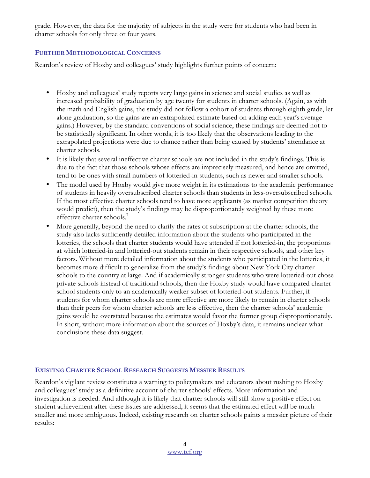grade. However, the data for the majority of subjects in the study were for students who had been in charter schools for only three or four years.

#### FURTHER METHODOLOGICAL CONCERNS

Reardon's review of Hoxby and colleagues' study highlights further points of concern:

- Hoxby and colleagues' study reports very large gains in science and social studies as well as increased probability of graduation by age twenty for students in charter schools. (Again, as with the math and English gains, the study did not follow a cohort of students through eighth grade, let alone graduation, so the gains are an extrapolated estimate based on adding each year's average gains.) However, by the standard conventions of social science, these findings are deemed not to be statistically significant. In other words, it is too likely that the observations leading to the extrapolated projections were due to chance rather than being caused by students' attendance at charter schools.
- It is likely that several ineffective charter schools are not included in the study's findings. This is due to the fact that those schools whose effects are imprecisely measured, and hence are omitted, tend to be ones with small numbers of lotteried-in students, such as newer and smaller schools.
- The model used by Hoxby would give more weight in its estimations to the academic performance of students in heavily oversubscribed charter schools than students in less-oversubscribed schools. If the most effective charter schools tend to have more applicants (as market competition theory would predict), then the study's findings may be disproportionately weighted by these more effective charter schools.<sup>7</sup>
- More generally, beyond the need to clarify the rates of subscription at the charter schools, the study also lacks sufficiently detailed information about the students who participated in the lotteries, the schools that charter students would have attended if not lotteried-in, the proportions at which lotteried-in and lotteried-out students remain in their respective schools, and other key factors. Without more detailed information about the students who participated in the lotteries, it becomes more difficult to generalize from the study's findings about New York City charter schools to the country at large. And if academically stronger students who were lotteried-out chose private schools instead of traditional schools, then the Hoxby study would have compared charter school students only to an academically weaker subset of lotteried-out students. Further, if students for whom charter schools are more effective are more likely to remain in charter schools than their peers for whom charter schools are less effective, then the charter schools' academic gains would be overstated because the estimates would favor the former group disproportionately. In short, without more information about the sources of Hoxby's data, it remains unclear what conclusions these data suggest.

#### EXISTING CHARTER SCHOOL RESEARCH SUGGESTS MESSIER RESULTS

Reardon's vigilant review constitutes a warning to policymakers and educators about rushing to Hoxby and colleagues' study as a definitive account of charter schools' effects. More information and investigation is needed. And although it is likely that charter schools will still show a positive effect on student achievement after these issues are addressed, it seems that the estimated effect will be much smaller and more ambiguous. Indeed, existing research on charter schools paints a messier picture of their results: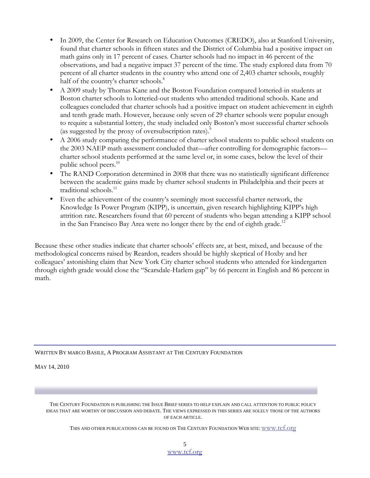- In 2009, the Center for Research on Education Outcomes (CREDO), also at Stanford University, found that charter schools in fifteen states and the District of Columbia had a positive impact on math gains only in 17 percent of cases. Charter schools had no impact in 46 percent of the observations, and had a negative impact 37 percent of the time. The study explored data from 70 percent of all charter students in the country who attend one of 2,403 charter schools, roughly half of the country's charter schools.<sup>8</sup>
- A 2009 study by Thomas Kane and the Boston Foundation compared lotteried-in students at Boston charter schools to lotteried-out students who attended traditional schools. Kane and colleagues concluded that charter schools had a positive impact on student achievement in eighth and tenth grade math. However, because only seven of 29 charter schools were popular enough to require a substantial lottery, the study included only Boston's most successful charter schools (as suggested by the proxy of oversubscription rates).<sup>9</sup>
- A 2006 study comparing the performance of charter school students to public school students on the 2003 NAEP math assessment concluded that—after controlling for demographic factors charter school students performed at the same level or, in some cases, below the level of their public school peers.<sup>10</sup>
- The RAND Corporation determined in 2008 that there was no statistically significant difference between the academic gains made by charter school students in Philadelphia and their peers at traditional schools.<sup>11</sup>
- Even the achievement of the country's seemingly most successful charter network, the Knowledge Is Power Program (KIPP), is uncertain, given research highlighting KIPP's high attrition rate. Researchers found that 60 percent of students who began attending a KIPP school in the San Francisco Bay Area were no longer there by the end of eighth grade.<sup>12</sup>

Because these other studies indicate that charter schools' effects are, at best, mixed, and because of the methodological concerns raised by Reardon, readers should be highly skeptical of Hoxby and her colleagues' astonishing claim that New York City charter school students who attended for kindergarten through eighth grade would close the "Scarsdale-Harlem gap" by 66 percent in English and 86 percent in math.

WRITTEN BY MARCO BASILE, A PROGRAM ASSISTANT AT THE CENTURY FOUNDATION

MAY 14, 2010

THE CENTURY FOUNDATION IS PUBLISHING THE ISSUE BRIEF SERIES TO HELP EXPLAIN AND CALL ATTENTION TO PUBLIC POLICY IDEAS THAT ARE WORTHY OF DISCUSSION AND DEBATE. THE VIEWS EXPRESSED IN THIS SERIES ARE SOLELY THOSE OF THE AUTHORS OF EACH ARTICLE.

THIS AND OTHER PUBLICATIONS CAN BE FOUND ON THE CENTURY FOUNDATION WEB SITE: www.tcf.org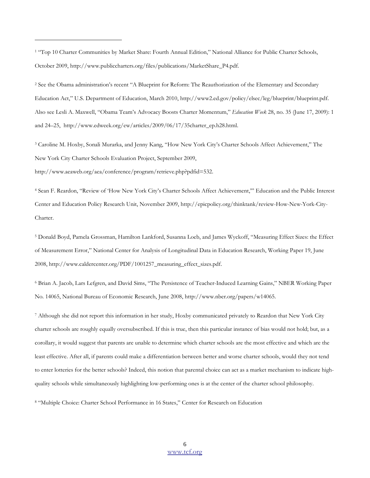<sup>1</sup> "Top 10 Charter Communities by Market Share: Fourth Annual Edition," National Alliance for Public Charter Schools, October 2009, http://www.publiccharters.org/files/publications/MarketShare\_P4.pdf.

2 See the Obama administration's recent "A Blueprint for Reform: The Reauthorization of the Elementary and Secondary Education Act," U.S. Department of Education, March 2010, http://www2.ed.gov/policy/elsec/leg/blueprint/blueprint.pdf. Also see Lesli A. Maxwell, "Obama Team's Advocacy Boosts Charter Momentum," Education Week 28, no. 35 (June 17, 2009): 1 and 24–25, http://www.edweek.org/ew/articles/2009/06/17/35charter\_ep.h28.html.

3 Caroline M. Hoxby, Sonali Murarka, and Jenny Kang, "How New York City's Charter Schools Affect Achievement," The New York City Charter Schools Evaluation Project, September 2009,

http://www.aeaweb.org/aea/conference/program/retrieve.php?pdfid=532.

 $\overline{a}$ 

4 Sean F. Reardon, "Review of 'How New York City's Charter Schools Affect Achievement,'" Education and the Public Interest Center and Education Policy Research Unit, November 2009, http://epicpolicy.org/thinktank/review-How-New-York-City-Charter.

5 Donald Boyd, Pamela Grossman, Hamilton Lankford, Susanna Loeb, and James Wyckoff, "Measuring Effect Sizes: the Effect of Measurement Error," National Center for Analysis of Longitudinal Data in Education Research, Working Paper 19, June 2008, http://www.caldercenter.org/PDF/1001257\_measuring\_effect\_sizes.pdf.

6 Brian A. Jacob, Lars Lefgren, and David Sims, "The Persistence of Teacher-Induced Learning Gains," NBER Working Paper No. 14065, National Bureau of Economic Research, June 2008, http://www.nber.org/papers/w14065.

7 Although she did not report this information in her study, Hoxby communicated privately to Reardon that New York City charter schools are roughly equally oversubscribed. If this is true, then this particular instance of bias would not hold; but, as a corollary, it would suggest that parents are unable to determine which charter schools are the most effective and which are the least effective. After all, if parents could make a differentiation between better and worse charter schools, would they not tend to enter lotteries for the better schools? Indeed, this notion that parental choice can act as a market mechanism to indicate highquality schools while simultaneously highlighting low-performing ones is at the center of the charter school philosophy.

8 "Multiple Choice: Charter School Performance in 16 States," Center for Research on Education